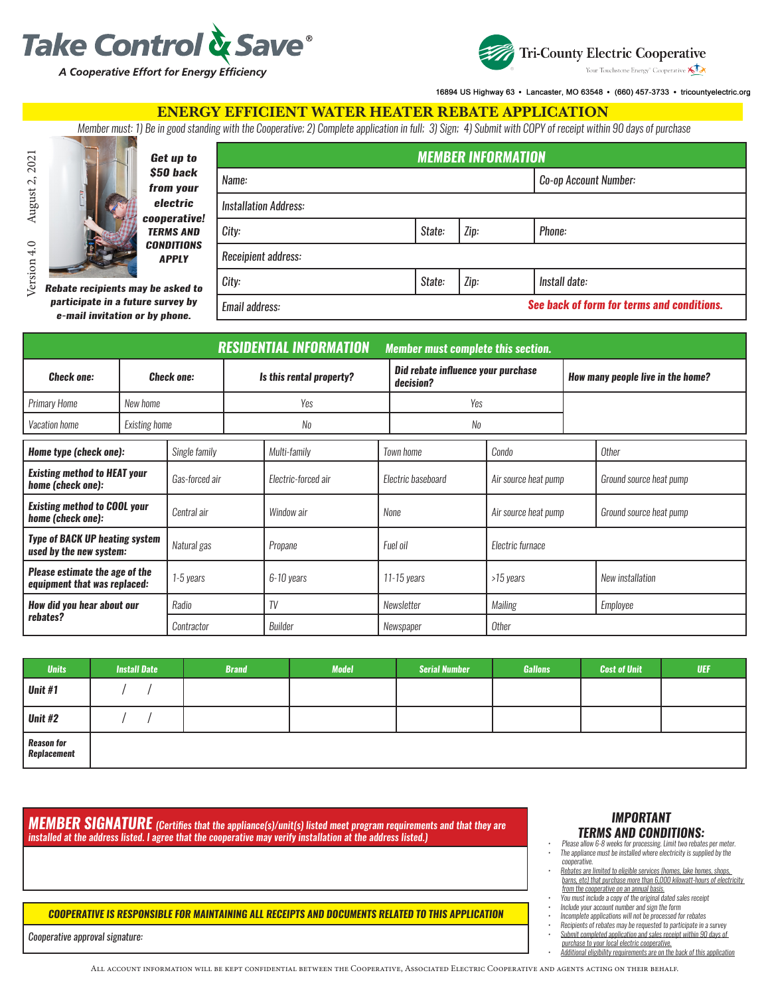



16894 US Highway 63 · Lancaster, MO 63548 · (660) 457-3733 · tricountyelectric.org

### ENERGY EFFICIENT WATER HEATER REBATE APPLICATION

*Member must: 1) Be in good standing with the Cooperative; 2) Complete application in full; 3) Sign; 4) Submit with COPY of receipt within 90 days of purchase*



*Get up to \$50 back*  from you *electric cooperative!*  **TERMS AN CONDITION** *APPLY*

| <b>MEMBER INFORMATION</b>    |        |      |                                            |  |  |  |  |
|------------------------------|--------|------|--------------------------------------------|--|--|--|--|
| Name:                        |        |      | Co-op Account Number:                      |  |  |  |  |
| <b>Installation Address:</b> |        |      |                                            |  |  |  |  |
| City:                        | State: | Zip: | Phone:                                     |  |  |  |  |
| Receipient address:          |        |      |                                            |  |  |  |  |
| City:                        | State: | Zip: | Install date:                              |  |  |  |  |
| Email address:               |        |      | See back of form for terms and conditions. |  |  |  |  |

*Rebate recipients may be asked participate in a future survey by e-mail invitation or by phone.*

| <b>RESIDENTIAL INFORMATION</b>                                        |                      |                |                          |                     | <b>Member must complete this section.</b>       |                    |                                   |  |                         |  |
|-----------------------------------------------------------------------|----------------------|----------------|--------------------------|---------------------|-------------------------------------------------|--------------------|-----------------------------------|--|-------------------------|--|
| <b>Check one:</b><br><b>Check one:</b>                                |                      |                | Is this rental property? |                     | Did rebate influence your purchase<br>decision? |                    | How many people live in the home? |  |                         |  |
| <b>Primary Home</b>                                                   | New home             |                |                          | Yes                 |                                                 | Yes                |                                   |  |                         |  |
| Vacation home                                                         | <b>Existing home</b> |                |                          | No                  |                                                 | No                 |                                   |  |                         |  |
| Home type (check one):                                                |                      | Single family  |                          | Multi-family        |                                                 | <b>Town home</b>   | Condo                             |  | Other                   |  |
| <b>Existing method to HEAT your</b><br>home (check one):              |                      | Gas-forced air |                          | Electric-forced air |                                                 | Electric baseboard | Air source heat pump              |  | Ground source heat pump |  |
| <b>Existing method to COOL your</b><br>home (check one):              |                      | Central air    |                          | Window air          | None                                            |                    | Air source heat pump              |  | Ground source heat pump |  |
| <b>Type of BACK UP heating system</b><br>used by the new system:      |                      | Natural gas    |                          | Propane             | Fuel oil                                        |                    | Electric furnace                  |  |                         |  |
| <b>Please estimate the age of the</b><br>equipment that was replaced: |                      | 1-5 years      |                          | 6-10 years          | 11-15 years                                     |                    | >15 years                         |  | New installation        |  |
| How did you hear about our                                            | Radio                |                |                          | TV                  |                                                 | Newsletter         | Mailing                           |  | Employee                |  |
| rebates?                                                              |                      | Contractor     |                          | Builder             |                                                 | Newspaper          | <b>Other</b>                      |  |                         |  |

| <b>Units</b>                      | <b>Install Date</b> | <b>Brand</b> | <b>Model</b> | <b>Serial Number</b> | <b>Gallons</b> | <b>Cost of Unit</b> | <b>UEF</b> |
|-----------------------------------|---------------------|--------------|--------------|----------------------|----------------|---------------------|------------|
| <b>Unit #1</b>                    |                     |              |              |                      |                |                     |            |
| <b>Unit #2</b>                    |                     |              |              |                      |                |                     |            |
| <b>Reason for<br/>Replacement</b> |                     |              |              |                      |                |                     |            |

*MEMBER SIGNATURE (Certifies that the appliance(s)/unit(s) listed meet program requirements and that they are installed at the address listed. I agree that the cooperative may verify installation at the address listed.)*

#### *COOPERATIVE IS RESPONSIBLE FOR MAINTAINING ALL RECEIPTS AND DOCUMENTS RELATED TO THIS APPLICATION*

*Cooperative approval signature:*

*• Additional eligibility requirements are on the back of this application* All account information will be kept confidential between the Cooperative, Associated Electric Cooperative and agents acting on their behalf.

# *IMPORTANT*

- *TERMS AND CONDITIONS: • Please allow 6-8 weeks for processing. Limit two rebates per meter. • The appliance must be installed where electricity is supplied by the cooperative.*
- *• Rebates are limited to eligible services (homes, lake homes, shops, barns, etc) that purchase more than 6,000 kilowatt-hours of electricity from the cooperative on an annual basis.*
- *• You must include a copy of the original dated sales receipt*
- *• Include your account number and sign the form • Incomplete applications will not be processed for rebates*
- *• Recipients of rebates may be requested to participate in a survey*
- *• Submit completed application and sales receipt within 90 days of purchase to your local electric cooperative.*